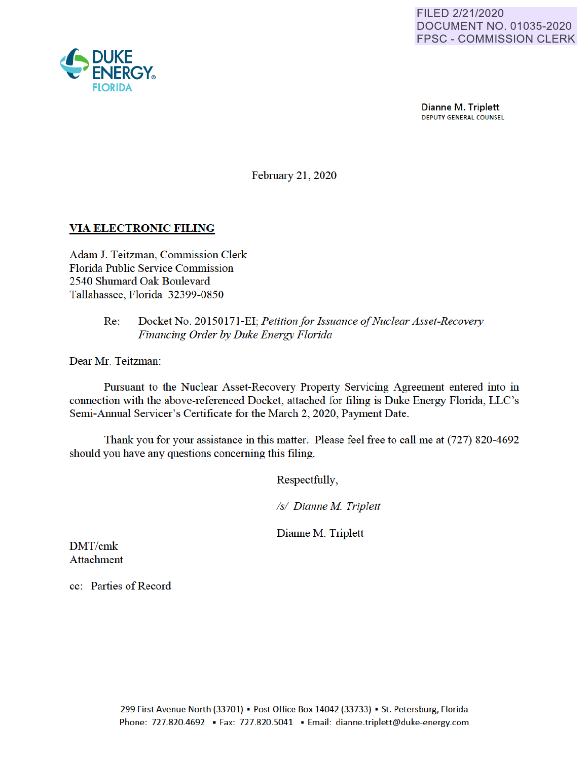

Dianne M. Triplett DEPUTY GENERAL COUNSEL

February 21, 2020

## **VIA ELECTRONIC FILING**

Adam J. Teitzman, Commission Clerk Florida Public Service Commission 2540 Shumard Oak Boulevard Tallahassee, Florida 32399-0850

### Re: Docket No. 20150171-EI· *Petition for Issuance of Nuclear Asset-Recovery Financing Order* by *Duke Energy Florida*

Dear Mr. Teitzman:

Pursuant to the Nuclear Asset-Recovery Property Servicing Agreement entered into in connection with the above-referenced Docket, attached for filing is Duke Energy Florida, LLC's Semi-Annual Servicer's Certificate for the March 2, 2020, Payment Date.

Thank you for your assistance in this matter. Please feel free to call me at (727) 820-4692 should you have any questions concerning this filing.

Respectfully,

*Isl Dianne M Triplett* 

Dianne M. Triplett

DMT/cmk Attachment

cc: Parties of Record

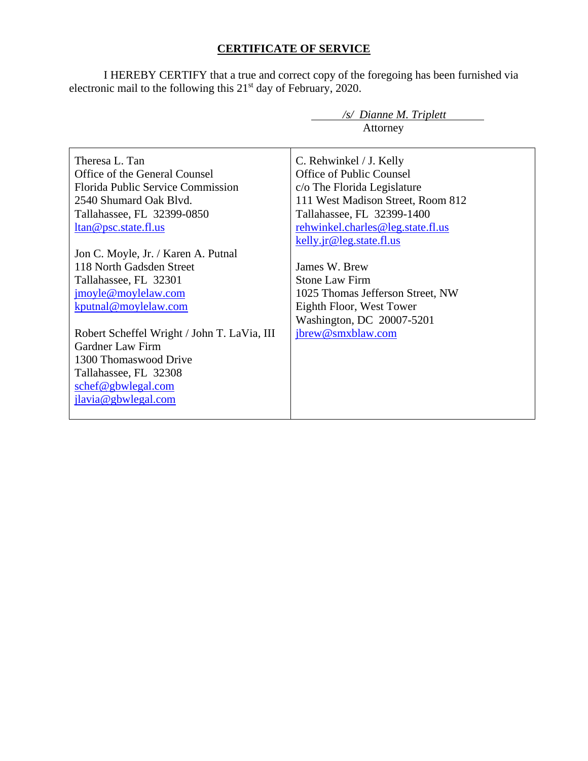# **CERTIFICATE OF SERVICE**

I HEREBY CERTIFY that a true and correct copy of the foregoing has been furnished via electronic mail to the following this  $21<sup>st</sup>$  day of February, 2020.

|                                             | $\sqrt{s}$ Dianne M. Triplett     |
|---------------------------------------------|-----------------------------------|
|                                             | Attorney                          |
|                                             |                                   |
| Theresa L. Tan                              | C. Rehwinkel / J. Kelly           |
| Office of the General Counsel               | Office of Public Counsel          |
| <b>Florida Public Service Commission</b>    | c/o The Florida Legislature       |
| 2540 Shumard Oak Blvd.                      | 111 West Madison Street, Room 812 |
| Tallahassee, FL 32399-0850                  | Tallahassee, FL 32399-1400        |
| <u>ltan@psc.state.fl.us</u>                 | rehwinkel.charles@leg.state.fl.us |
|                                             | kelly.jr@leg.state.fl.us          |
| Jon C. Moyle, Jr. / Karen A. Putnal         |                                   |
| 118 North Gadsden Street                    | James W. Brew                     |
| Tallahassee, FL 32301                       | <b>Stone Law Firm</b>             |
| jmoyle@moylelaw.com                         | 1025 Thomas Jefferson Street, NW  |
| kputnal@moylelaw.com                        | Eighth Floor, West Tower          |
|                                             | Washington, DC 20007-5201         |
| Robert Scheffel Wright / John T. LaVia, III | jbrew@smxblaw.com                 |
| Gardner Law Firm                            |                                   |
| 1300 Thomaswood Drive                       |                                   |
| Tallahassee, FL 32308                       |                                   |
| schef@gbwlegal.com                          |                                   |
| jlavia@gbwlegal.com                         |                                   |
|                                             |                                   |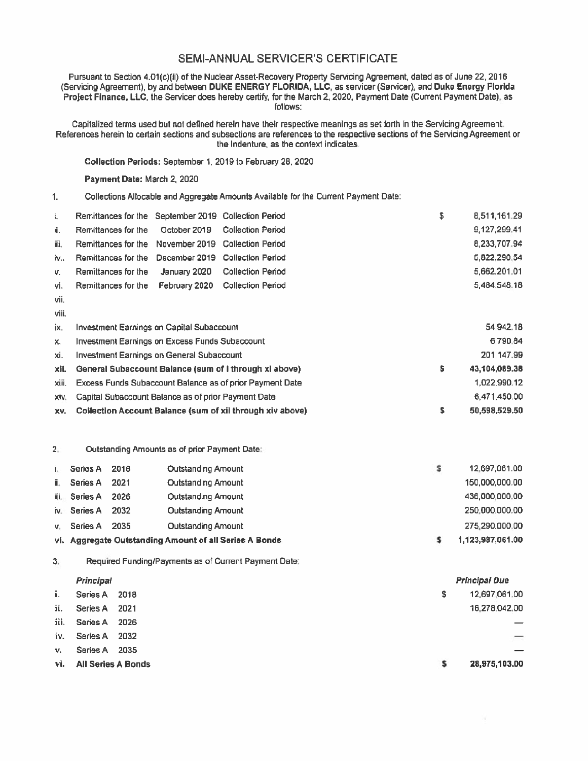## SEMI-ANNUAL SERVICER'S CERTIFICATE

Pursuant to Section 4.01(c)(ii) of the Nuclear Asset-Recovery Property Servicing Agreement, dated as of June 22, 2016 (Servicing Agreement), by and between DUKE ENERGY FLORIDA, LLC, as servicer (Servicer), and Duke Energy Florida Project Finance, LLC, the Servicer does hereby certify, for the March 2, 2020, Payment Date (Current Payment Date), as follows:

Capitalized tenns used but not defined herein have their respective meanings as set forth in the Servicing Agreement. References herein to certain sections and subsections are references to the respective sections of the Servicing Agreement or the Indenture, as the context indicates

**Collection Periods:** September 1, 2019 to February 28, 2020

**Payment Date:** March 2, 2020

1. Collections Allocable and Aggregate Amounts Available for the Current Payment Date:

| Ť.    | Remittances for the September 2019 Collection Period  |               |                                                           | \$<br>8,511,161.29  |
|-------|-------------------------------------------------------|---------------|-----------------------------------------------------------|---------------------|
| ii.   | Remittances for the                                   | October 2019  | <b>Collection Period</b>                                  | 9,127,299.41        |
| iii.  | Remittances for the                                   | November 2019 | <b>Collection Period</b>                                  | 8.233.707.94        |
| iv    | Remittances for the                                   | December 2019 | <b>Collection Period</b>                                  | 5,822,290.54        |
| v.    | Remittances for the                                   | January 2020  | <b>Collection Period</b>                                  | 5,662,201.01        |
| vi.   | Remittances for the                                   | February 2020 | <b>Collection Period</b>                                  | 5,484,548.18        |
| vii.  |                                                       |               |                                                           |                     |
| viii. |                                                       |               |                                                           |                     |
| ix.   | Investment Earnings on Capital Subaccount             |               |                                                           | 54,942.18           |
| х.    | <b>Investment Earnings on Excess Funds Subaccount</b> |               |                                                           | 6.790.84            |
| xi.   | Investment Earnings on General Subaccount             |               |                                                           | 201.147.99          |
| xli.  |                                                       |               | General Subaccount Balance (sum of I through xi above)    | \$<br>43,104,089.38 |
| xiii. |                                                       |               | Excess Funds Subaccount Balance as of prior Payment Date  | 1,022,990.12        |
| XIV.  | Capital Subaccount Balance as of prior Payment Date   |               |                                                           | 6,471,450.00        |
| XV.   |                                                       |               | Collection Account Balance (sum of xii through xiv above) | \$<br>50,598,529.50 |

2. Outstanding Amounts as of prior Payment Date·

|      | Series A     | 2018 | <b>Outstanding Amount</b>                              | 12.697.061.00    |
|------|--------------|------|--------------------------------------------------------|------------------|
| ii.  | Series A     | 2021 | Outstanding Amount                                     | 150,000,000.00   |
| iii. | Series A     | 2026 | Outstanding Amount                                     | 436,000,000.00   |
|      | iv. Series A | 2032 | <b>Outstanding Amount</b>                              | 250,000,000.00   |
| v.   | Series A     | 2035 | Outstanding Amount                                     | 275,290,000.00   |
|      |              |      | vi. Aggregate Outstanding Amount of all Series A Bonds | 1,123,987,061.00 |

3. Required Funding/Payments as of Current Payment Date:

#### **Principal**

|     | vi. All Series A Bonds | s  | 28,975,103.00 |
|-----|------------------------|----|---------------|
|     | v. Series A 2035       |    |               |
|     | iv. Series A 2032      |    |               |
|     | iii. Series A 2026     |    |               |
| ii. | Series A 2021          |    | 16,278,042,00 |
| i., | Series A 2018          | s. | 12,697,061.00 |
|     |                        |    |               |

Principal Due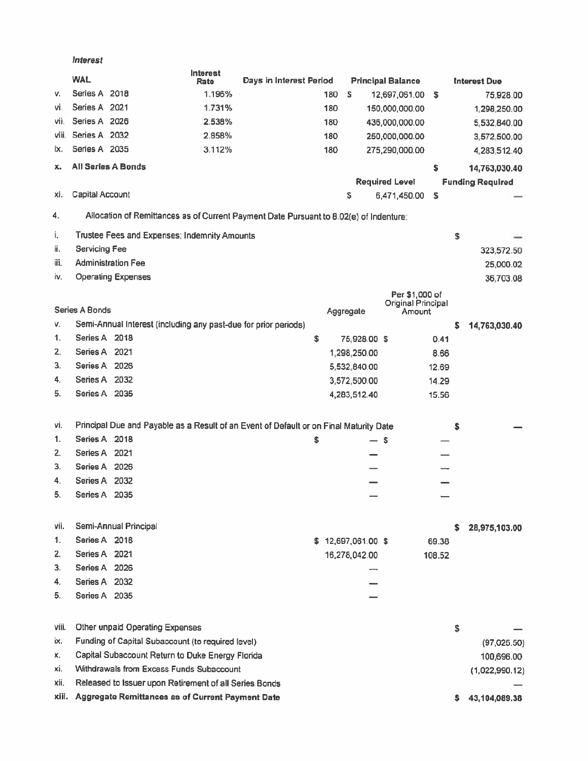**Interest** 

|       | <b>WAL</b>      |                                                                 | Interest<br>Rate | Days in Interest Period                                                                |     |                    | <b>Principal Balance</b>     |        |    | <b>Interest Due</b>     |
|-------|-----------------|-----------------------------------------------------------------|------------------|----------------------------------------------------------------------------------------|-----|--------------------|------------------------------|--------|----|-------------------------|
| v.    | Series A 2018   |                                                                 | 1.196%           |                                                                                        | 180 | \$                 | 12,697,061.00                | \$     |    | 75,928.00               |
| vi.   | Series A 2021   |                                                                 | 1.731%           |                                                                                        | 180 |                    | 150,000,000.00               |        |    | 1,298,250.00            |
| vii.  | Series A 2026   |                                                                 | 2.538%           |                                                                                        | 180 |                    | 436,000,000.00               |        |    | 5,532,840.00            |
| viii. | Series A 2032   |                                                                 | 2.858%           |                                                                                        | 180 |                    | 250,000,000.00               |        |    | 3,572,500.00            |
| IX.   | Series A 2035   |                                                                 | 3.112%           |                                                                                        | 180 |                    | 275,290,000.00               |        |    | 4,283,512.40            |
| x.    |                 | All Series A Bonds                                              |                  |                                                                                        |     |                    |                              | \$     |    | 14,763,030.40           |
|       |                 |                                                                 |                  |                                                                                        |     |                    | <b>Required Level</b>        |        |    | <b>Funding Required</b> |
| xi.   | Capital Account |                                                                 |                  |                                                                                        |     | S                  | 6,471,450.00                 | s      |    |                         |
| 4.    |                 |                                                                 |                  | Allocation of Remittances as of Current Payment Date Pursuant to 8.02(e) of Indenture: |     |                    |                              |        |    |                         |
| i,    |                 | Trustee Fees and Expenses; Indemnity Amounts                    |                  |                                                                                        |     |                    |                              |        | \$ |                         |
| ii.   | Servicing Fee   |                                                                 |                  |                                                                                        |     |                    |                              |        |    | 323,572.50              |
| iii.  |                 | <b>Administration Fee</b>                                       |                  |                                                                                        |     |                    |                              |        |    | 25,000.02               |
| iv.   |                 | <b>Operating Expenses</b>                                       |                  |                                                                                        |     |                    |                              |        |    | 36,703.08               |
|       |                 |                                                                 |                  |                                                                                        |     |                    | Per \$1,000 of               |        |    |                         |
|       | Series A Bonds  |                                                                 |                  |                                                                                        |     | Aggregate          | Original Principal<br>Amount |        |    |                         |
| ٧.    |                 | Semi-Annual Interest (including any past-due for prior periods) |                  |                                                                                        |     |                    |                              |        | s  | 14,763,030.40           |
| 1.    | Series A 2018   |                                                                 |                  | \$                                                                                     |     | 75,928.00 \$       |                              | 0.41   |    |                         |
| 2.    | Series A 2021   |                                                                 |                  |                                                                                        |     | 1,298,250.00       |                              | 8.66   |    |                         |
| 3.    | Series A 2026   |                                                                 |                  |                                                                                        |     | 5,532,840.00       |                              | 12.69  |    |                         |
| 4.    | Series A 2032   |                                                                 |                  |                                                                                        |     | 3,572,500.00       |                              | 14.29  |    |                         |
| 5.    | Series A 2035   |                                                                 |                  |                                                                                        |     | 4,283,512.40       |                              | 15.56  |    |                         |
|       |                 |                                                                 |                  |                                                                                        |     |                    |                              |        |    |                         |
| vi.   |                 |                                                                 |                  | Principal Due and Payable as a Result of an Event of Default or on Final Maturity Date |     |                    |                              |        | s  |                         |
| 1.    | Series A 2018   |                                                                 |                  | Ŝ                                                                                      |     | — s                |                              |        |    |                         |
| 2.    | Series A 2021   |                                                                 |                  |                                                                                        |     |                    |                              |        |    |                         |
| 3.    | Series A 2026   |                                                                 |                  |                                                                                        |     |                    |                              |        |    |                         |
| 4.    | Series A 2032   |                                                                 |                  |                                                                                        |     |                    |                              |        |    |                         |
| 5.    | Series A 2035   |                                                                 |                  |                                                                                        |     |                    |                              |        |    |                         |
|       |                 |                                                                 |                  |                                                                                        |     |                    |                              |        |    |                         |
| vii.  |                 | Semi-Annual Principal                                           |                  |                                                                                        |     |                    |                              |        | s  | 28,975,103.00           |
| 1.    | Series A 2018   |                                                                 |                  |                                                                                        |     | \$12,697,061.00 \$ |                              | 69.38  |    |                         |
| 2.    | Series A 2021   |                                                                 |                  |                                                                                        |     | 16,278,042.00      |                              | 108.52 |    |                         |
| З.    | Series A 2026   |                                                                 |                  |                                                                                        |     |                    |                              |        |    |                         |
| 4.    | Series A 2032   |                                                                 |                  |                                                                                        |     |                    |                              |        |    |                         |
| 5.    | Series A 2035   |                                                                 |                  |                                                                                        |     |                    |                              |        |    |                         |
|       |                 |                                                                 |                  |                                                                                        |     |                    |                              |        |    |                         |
| viii. |                 | Other unpaid Operating Expenses                                 |                  |                                                                                        |     |                    |                              |        | \$ |                         |
| ix.   |                 | Funding of Capital Subaccount (to required level)               |                  |                                                                                        |     |                    |                              |        |    | (97,025.50)             |
| х.    |                 | Capital Subaccount Return to Duke Energy Florida                |                  |                                                                                        |     |                    |                              |        |    | 100,696.00              |
| xi.   |                 | Withdrawals from Excess Funds Subaccount                        |                  |                                                                                        |     |                    |                              |        |    | (1,022,990.12)          |
| xii.  |                 | Released to Issuer upon Retirement of all Series Bonds          |                  |                                                                                        |     |                    |                              |        |    |                         |
| xiii. |                 | Aggregate Remittances as of Current Payment Date                |                  |                                                                                        |     |                    |                              |        | s. | 43,104,089.38           |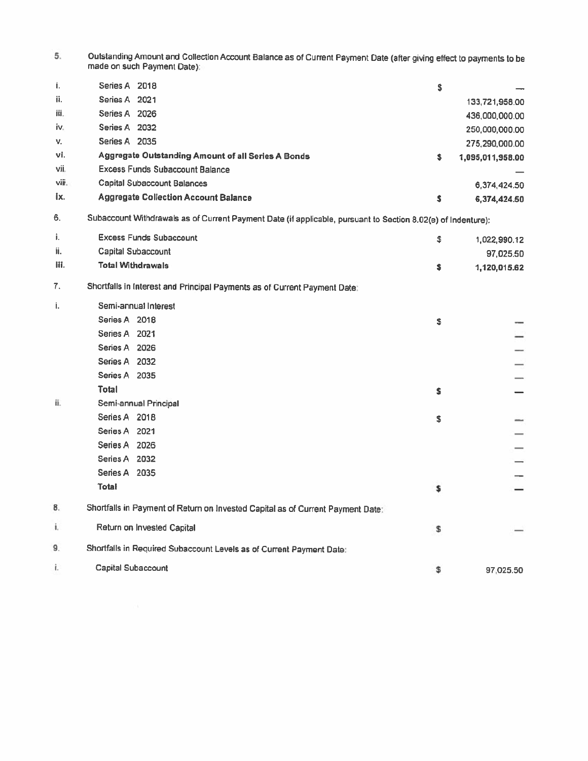| Outstanding Amount and Collection Account Balance as of Current Payment Date (after giving effect to payments to be |
|---------------------------------------------------------------------------------------------------------------------|
| made on such Payment Date).                                                                                         |

| í.    | Series A 2018                                      | \$ |                  |
|-------|----------------------------------------------------|----|------------------|
| ii.   | Series A 2021                                      |    | 133,721,958.00   |
| iü.   | Series A 2026                                      |    | 436,000,000.00   |
| iv.   | Series A 2032                                      |    | 250,000,000.00   |
| V.    | Series A 2035                                      |    | 275,290,000.00   |
| vi.   | Aggregate Outstanding Amount of all Series A Bonds | s  | 1,095,011,958.00 |
| vii.  | <b>Excess Funds Subaccount Balance</b>             |    |                  |
| viii. | Capital Subaccount Balances                        |    | 6,374,424.50     |
| ix.   | <b>Aggregate Collection Account Balance</b>        |    | 6,374,424.50     |

6. Subaccount Withdrawals as of Current Payment Date (if applicable, pursuant to Section 8.02(e) of Indenture):

| i.   | <b>Excess Funds Subaccount</b>                                                  | \$  | 1,022,990.12 |
|------|---------------------------------------------------------------------------------|-----|--------------|
| ii.  | Capital Subaccount                                                              |     | 97,025.50    |
| lii. | <b>Total Withdrawals</b>                                                        | \$. | 1,120,015.62 |
| 7.   | Shortfalls in Interest and Principal Payments as of Current Payment Date:       |     |              |
| i.   | Semi-annual Interest                                                            |     |              |
|      | Series A 2018                                                                   | \$  |              |
|      | Series A 2021                                                                   |     |              |
|      | Series A 2026                                                                   |     |              |
|      | Series A 2032                                                                   |     |              |
|      | Series A 2035                                                                   |     |              |
|      | Total                                                                           | s   |              |
| ii.  | Semi-annual Principal                                                           |     |              |
|      | Series A 2018                                                                   | \$  |              |
|      | Series A 2021                                                                   |     |              |
|      | Series A 2026                                                                   |     |              |
|      | Series A 2032                                                                   |     |              |
|      | Series A 2035                                                                   |     |              |
|      | <b>Total</b>                                                                    | \$  |              |
| 8.   | Shortfalls in Payment of Return on Invested Capital as of Current Payment Date: |     |              |
| ŧ.   | Return on Invested Capital                                                      | \$  |              |
| 9.   | Shortfalls in Required Subaccount Levels as of Current Payment Date:            |     |              |
| Ť.   | Capital Subaccount                                                              | \$  | 97.025.50    |